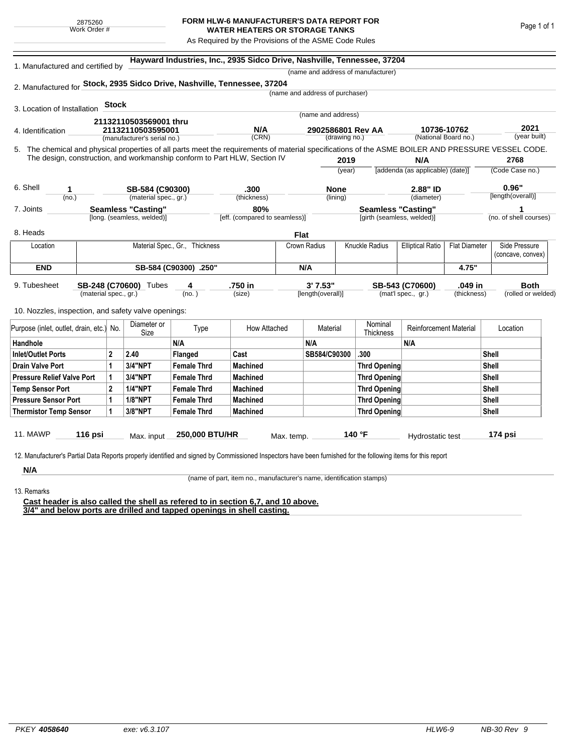## **FORM HLW-6 MANUFACTURER'S DATA REPORT FOR WATER HEATERS OR STORAGE TANKS**

As Required by the Provisions of the ASME Code Rules

| 1. Manufactured and certified by                                                                                                                              |                           |                                |                             |                    | Hayward Industries, Inc., 2935 Sidco Drive, Nashville, Tennessee, 37204   |            |                                 |                           |                                    |                                  |                      |                   |                        |  |
|---------------------------------------------------------------------------------------------------------------------------------------------------------------|---------------------------|--------------------------------|-----------------------------|--------------------|---------------------------------------------------------------------------|------------|---------------------------------|---------------------------|------------------------------------|----------------------------------|----------------------|-------------------|------------------------|--|
|                                                                                                                                                               |                           |                                |                             |                    |                                                                           |            |                                 |                           | (name and address of manufacturer) |                                  |                      |                   |                        |  |
| 2. Manufactured for Stock, 2935 Sidco Drive, Nashville, Tennessee, 37204                                                                                      |                           |                                |                             |                    |                                                                           |            |                                 |                           |                                    |                                  |                      |                   |                        |  |
|                                                                                                                                                               |                           |                                |                             |                    |                                                                           |            | (name and address of purchaser) |                           |                                    |                                  |                      |                   |                        |  |
| 3. Location of Installation                                                                                                                                   |                           | <b>Stock</b>                   |                             |                    |                                                                           |            |                                 |                           |                                    |                                  |                      |                   |                        |  |
|                                                                                                                                                               | 21132110503569001 thru    |                                |                             |                    |                                                                           |            | (name and address)              |                           |                                    |                                  |                      |                   |                        |  |
| 21132110503595001<br>4. Identification                                                                                                                        |                           |                                |                             |                    | N/A                                                                       |            | 2902586801 Rev AA               |                           |                                    | 10736-10762                      |                      |                   | 2021                   |  |
|                                                                                                                                                               |                           |                                | (manufacturer's serial no.) |                    | (CRN)                                                                     |            |                                 | (drawing no.)             |                                    |                                  | (National Board no.) |                   | (year built)           |  |
| 5. The chemical and physical properties of all parts meet the requirements of material specifications of the ASME BOILER AND PRESSURE VESSEL CODE.            |                           |                                |                             |                    | The design, construction, and workmanship conform to Part HLW, Section IV |            |                                 |                           |                                    |                                  |                      |                   |                        |  |
|                                                                                                                                                               |                           |                                |                             |                    |                                                                           |            |                                 | 2019                      |                                    | N/A                              |                      |                   | 2768                   |  |
|                                                                                                                                                               |                           |                                |                             |                    |                                                                           |            |                                 | (year)                    |                                    | [addenda (as applicable) (date)] |                      |                   | (Code Case no.)        |  |
| 6. Shell<br>1                                                                                                                                                 |                           |                                |                             | SB-584 (C90300)    |                                                                           | .300       |                                 | <b>None</b>               |                                    | 2.88" ID                         |                      | 0.96"             |                        |  |
| (no.)                                                                                                                                                         | (material spec., gr.)     |                                |                             |                    | (thickness)                                                               | (lining)   |                                 |                           |                                    | (diameter)                       |                      | [length(overall)] |                        |  |
| 7. Joints                                                                                                                                                     | <b>Seamless "Casting"</b> |                                |                             | 80%                |                                                                           |            |                                 | <b>Seamless "Casting"</b> |                                    |                                  |                      | 1                 |                        |  |
|                                                                                                                                                               |                           |                                | [long. (seamless, welded)]  |                    | [eff. (compared to seamless)]                                             |            |                                 |                           | [girth (seamless, welded)]         |                                  |                      |                   | (no. of shell courses) |  |
| 8. Heads                                                                                                                                                      |                           |                                |                             |                    |                                                                           | Flat       |                                 |                           |                                    |                                  |                      |                   |                        |  |
| Location                                                                                                                                                      |                           | Material Spec., Gr., Thickness |                             |                    |                                                                           |            | Crown Radius                    |                           | <b>Knuckle Radius</b>              | <b>Elliptical Ratio</b>          | <b>Flat Diameter</b> |                   | Side Pressure          |  |
|                                                                                                                                                               |                           |                                |                             |                    |                                                                           |            |                                 |                           |                                    |                                  |                      |                   | (concave, convex)      |  |
| <b>END</b>                                                                                                                                                    | SB-584 (C90300) .250"     |                                |                             |                    |                                                                           |            | N/A                             |                           |                                    |                                  | 4.75"                |                   |                        |  |
| 9. Tubesheet                                                                                                                                                  |                           |                                | SB-248 (C70600) Tubes       | 4                  | .750 in                                                                   |            | 3'7.53''                        |                           | SB-543 (C70600)                    |                                  |                      | .049 in           |                        |  |
|                                                                                                                                                               | (material spec., gr.)     |                                |                             | (no. )             | (size)                                                                    |            | [length(overall)]               |                           |                                    | (mat'l spec., gr.)               | (thickness)          |                   | (rolled or welded)     |  |
| 10. Nozzles, inspection, and safety valve openings:                                                                                                           |                           |                                |                             |                    |                                                                           |            |                                 |                           |                                    |                                  |                      |                   |                        |  |
|                                                                                                                                                               |                           |                                | Diameter or                 |                    |                                                                           |            | Material                        |                           | Nominal                            | <b>Reinforcement Material</b>    |                      |                   |                        |  |
| Purpose (inlet, outlet, drain, etc.)                                                                                                                          |                           | No.                            | Size                        | Type               | How Attached                                                              |            |                                 |                           | Thickness                          |                                  |                      |                   | Location               |  |
| Handhole                                                                                                                                                      |                           |                                |                             | N/A                |                                                                           |            | N/A                             |                           |                                    | N/A                              |                      |                   |                        |  |
| <b>Inlet/Outlet Ports</b>                                                                                                                                     |                           | $\mathbf 2$                    | 2.40                        | Flanged            | Cast                                                                      |            | SB584/C90300                    |                           | .300                               |                                  | Shell                |                   |                        |  |
| <b>Drain Valve Port</b>                                                                                                                                       |                           | 1                              | <b>3/4"NPT</b>              | <b>Female Thrd</b> | <b>Machined</b>                                                           |            |                                 |                           | <b>Thrd Opening</b>                |                                  |                      | Shell             |                        |  |
| <b>Pressure Relief Valve Port</b>                                                                                                                             |                           | 1                              | <b>3/4"NPT</b>              | <b>Female Thrd</b> | <b>Machined</b>                                                           |            |                                 |                           | <b>Thrd Opening</b>                |                                  |                      | Shell             |                        |  |
| <b>Temp Sensor Port</b>                                                                                                                                       |                           | $\mathbf 2$                    | <b>1/4"NPT</b>              | <b>Female Thrd</b> | <b>Machined</b>                                                           |            |                                 |                           | Thrd Opening                       |                                  |                      | Shell             |                        |  |
| <b>Pressure Sensor Port</b>                                                                                                                                   |                           | 1                              | <b>1/8"NPT</b>              | <b>Female Thrd</b> | <b>Machined</b>                                                           |            |                                 |                           | Thrd Opening                       |                                  |                      |                   | Shell                  |  |
| <b>Thermistor Temp Sensor</b>                                                                                                                                 |                           | 1                              | 3/8"NPT                     | <b>Female Thrd</b> | <b>Machined</b>                                                           |            |                                 |                           | Thrd Opening                       |                                  |                      | Shell             |                        |  |
| <b>11. MAWP</b>                                                                                                                                               | 116 psi                   |                                | Max. input                  | 250,000 BTU/HR     |                                                                           | Max. temp. |                                 |                           | 140 °F                             | Hydrostatic test                 |                      |                   | 174 psi                |  |
|                                                                                                                                                               |                           |                                |                             |                    |                                                                           |            |                                 |                           |                                    |                                  |                      |                   |                        |  |
| 12. Manufacturer's Partial Data Reports properly identified and signed by Commissioned Inspectors have been furnished for the following items for this report |                           |                                |                             |                    |                                                                           |            |                                 |                           |                                    |                                  |                      |                   |                        |  |
| N/A                                                                                                                                                           |                           |                                |                             |                    |                                                                           |            |                                 |                           |                                    |                                  |                      |                   |                        |  |

13. Remarks

(name of part, item no., manufacturer's name, identification stamps)

**Cast header is also called the shell as refered to in section 6,7, and 10 above. 3/4" and below ports are drilled and tapped openings in shell casting.**